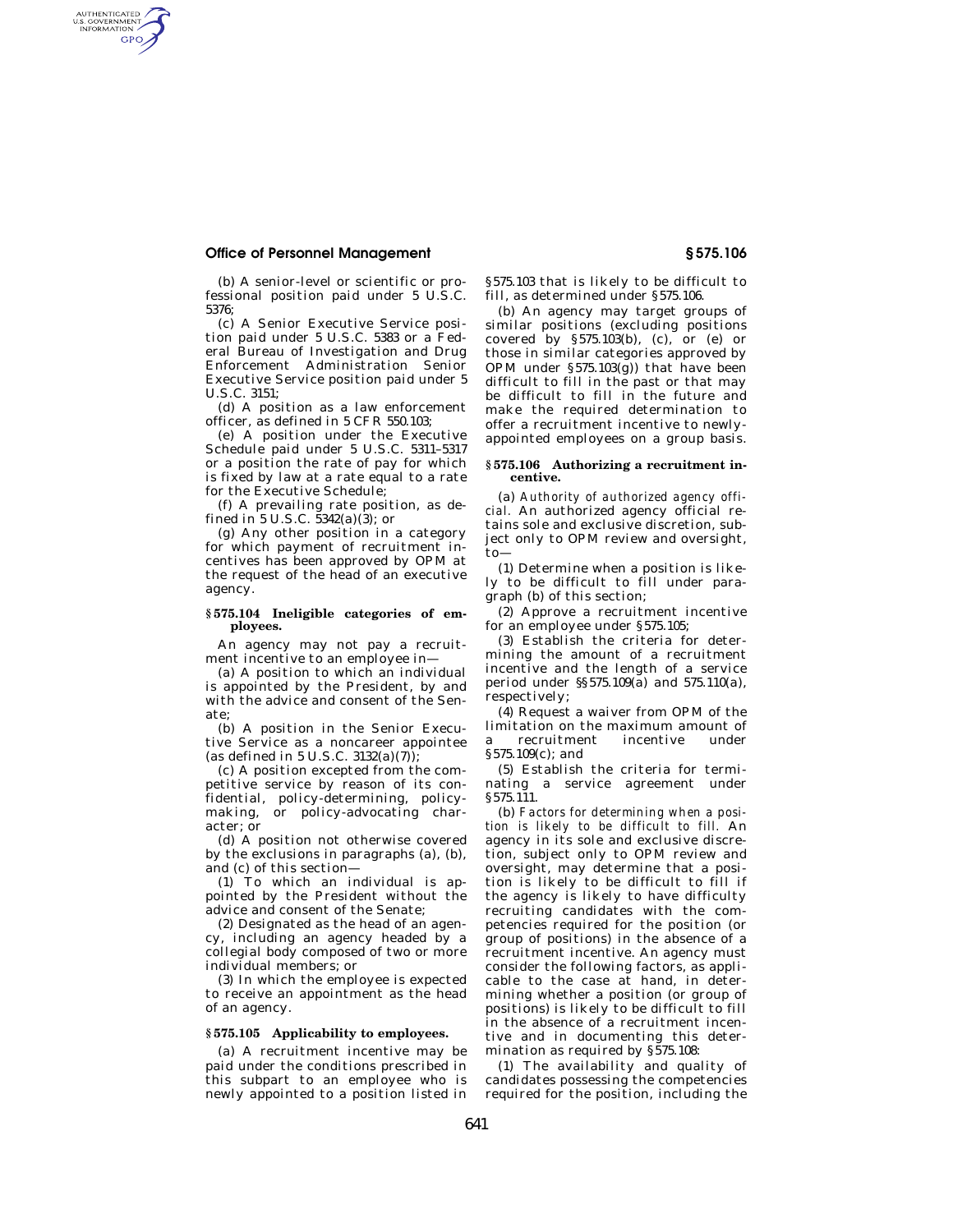# **Office of Personnel Management § 575.106**

AUTHENTICATED<br>U.S. GOVERNMENT<br>INFORMATION **GPO** 

> (b) A senior-level or scientific or professional position paid under 5 U.S.C. 5376;

(c) A Senior Executive Service position paid under 5 U.S.C. 5383 or a Federal Bureau of Investigation and Drug Enforcement Administration Senior Executive Service position paid under 5 U.S.C. 3151;

(d) A position as a law enforcement officer, as defined in 5 CFR 550.103;

(e) A position under the Executive Schedule paid under 5 U.S.C. 5311–5317 or a position the rate of pay for which is fixed by law at a rate equal to a rate for the Executive Schedule;

(f) A prevailing rate position, as defined in  $5 \text{ U.S.C. } 5342(a)(3)$ ; or

(g) Any other position in a category for which payment of recruitment incentives has been approved by OPM at the request of the head of an executive agency.

#### **§ 575.104 Ineligible categories of employees.**

An agency may not pay a recruitment incentive to an employee in-

(a) A position to which an individual is appointed by the President, by and with the advice and consent of the Senate;

(b) A position in the Senior Executive Service as a noncareer appointee (as defined in 5 U.S.C.  $3132(a)(7)$ ):

(c) A position excepted from the competitive service by reason of its confidential, policy-determining, policymaking, or policy-advocating character; or

(d) A position not otherwise covered by the exclusions in paragraphs (a), (b), and (c) of this section—

(1) To which an individual is appointed by the President without the advice and consent of the Senate;

(2) Designated as the head of an agency, including an agency headed by a collegial body composed of two or more individual members; or

(3) In which the employee is expected to receive an appointment as the head of an agency.

## **§ 575.105 Applicability to employees.**

(a) A recruitment incentive may be paid under the conditions prescribed in this subpart to an employee who is newly appointed to a position listed in §575.103 that is likely to be difficult to fill, as determined under §575.106.

(b) An agency may target groups of similar positions (excluding positions covered by §575.103(b), (c), or (e) or those in similar categories approved by OPM under §575.103(g)) that have been difficult to fill in the past or that may be difficult to fill in the future and make the required determination to offer a recruitment incentive to newlyappointed employees on a group basis.

#### **§ 575.106 Authorizing a recruitment incentive.**

(a) *Authority of authorized agency official.* An authorized agency official retains sole and exclusive discretion, subject only to OPM review and oversight, to—

(1) Determine when a position is likely to be difficult to fill under paragraph (b) of this section;

(2) Approve a recruitment incentive for an employee under §575.105;

(3) Establish the criteria for determining the amount of a recruitment incentive and the length of a service period under §§575.109(a) and 575.110(a), respectively;

(4) Request a waiver from OPM of the limitation on the maximum amount of<br>a recruitment incentive under a recruitment incentive under §575.109(c); and

(5) Establish the criteria for terminating a service agreement under §575.111.

(b) *Factors for determining when a position is likely to be difficult to fill.* An agency in its sole and exclusive discretion, subject only to OPM review and oversight, may determine that a position is likely to be difficult to fill if the agency is likely to have difficulty recruiting candidates with the competencies required for the position (or group of positions) in the absence of a recruitment incentive. An agency must consider the following factors, as applicable to the case at hand, in determining whether a position (or group of positions) is likely to be difficult to fill in the absence of a recruitment incentive and in documenting this determination as required by §575.108:

(1) The availability and quality of candidates possessing the competencies required for the position, including the